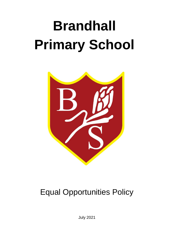# **Brandhall Primary School**



# Equal Opportunities Policy

July 2021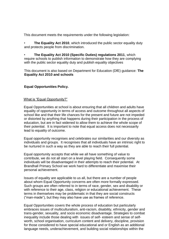This document meets the requirements under the following legislation:

• **The Equality Act 2010**, which introduced the public sector equality duty and protects people from discrimination.

• **The Equality Act 2010 (Specific Duties) regulations 2011**, which require schools to publish information to demonstrate how they are complying with the public sector equality duty and publish equality objectives

This document is also based on Department for Education (DfE) guidance: **The Equality Act 2010 and schools**

# **Equal Opportunities Policy.**

#### What is "Equal Opportunity?"

Equal Opportunities at school is about ensuring that all children and adults have equality of opportunity in terms of access and outcome throughout all aspects of school like and that their life chances for the present and future are not impeded or distorted by anything that happens during their participation in the process of education, but are in fact widened to allow them to achieve the whole scope of their potential. It is important to note that equal access does not necessarily lead to equality of outcome.

Equal opportunity recognises and celebrates our similarities and our diversity as individuals and groups. It recognises that all individuals have an intrinsic right to be nurtured in such a way as they are able to reach their full potential.

Equal opportunity accepts that while we all have something of value to contribute, we do not all start on a level playing field. Consequently some individuals will be disadvantaged in their attempts to reach their potential. At Brandhall Primary School we work hard to differentiate and maximise their personal achievement.

Issues of equality are applicable to us all, but there are a number of people about whom Equal Opportunity concerns are often more formally expressed. Such groups are often referred to in terms of race, gender, sex and disability or with reference to their age, class, religion or educational achievement. These terms in themselves may be problematic in that they are social constructs ("man-made"), but they may also have use as frames of reference.

Equal Opportunities covers the whole process of education but particularly embraces issues of multiculturalism, anti-racism, disability, ethnicity, gender and trans-gender, sexuality, and socio economic disadvantage. Strategies to combat inequality include those dealing with issues of self- esteem and sense of selfworth, school organisation, curriculum content and delivery, discipline, provision for those considered to have special educational and or English as an additional language needs, underachievement, and building social relationships within the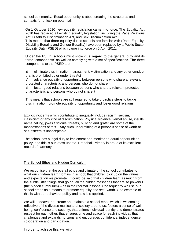school community. Equal opportunity is about creating the structures and contexts for unlocking potential.

On 1 October 2010 new equality legislation came into force. The Equality Act 2010 has replaced all existing equality legislation, including the Race Relations Act, Disability Discrimination Act, and Sex Discrimination Act.

This means that three equality duties schools are familiar with (Race Equality, Disability Equality and Gender Equality) have been replaced by a Public Sector Equality Duty (PSED) which came into force on 6 April 2011.

Under the PSED, schools must show **due regard** to the general duty and its three "components" as well as complying with a set of specifications. The three components to the PSED are:

a) eliminate discrimination, harassment, victimisation and any other conduct that is prohibited by or under this Act

b) advance equality of opportunity between persons who share a relevant protected characteristic and persons who do not share it

c) foster good relations between persons who share a relevant protected characteristic and persons who do not share it

This means that schools are still required to take proactive steps to tackle discrimination, promote equality of opportunity and foster good relations.

Explicit incidents which contribute to inequality include racism, sexism, classicism or any kind of discrimination. Physical violence, verbal abuse, insults, name calling, jokes / ridicule, threats, bullying and graffiti are some of the manifestations of this. Any such undermining of a person's sense of worth or self-esteem is unacceptable.

The school has a legal duty to implement and monitor an equal opportunities policy, and this is our latest update. Brandhall Primary is proud of its excellent record of harmony.

#### The School Ethos and Hidden Curriculum

We recognise that the overall ethos and climate of the school contributes to what our children learn from us in school; that children pick up on the values and expectation we promote. It could be said that children learn as much from the subtle 'little things' that go on, all the hidden messages that are so powerful (the hidden curriculum) – as in their formal lessons. Consequently we use our school ethos as a means to promote equality and self- worth. One example of this is with our behaviour policy and how it is applied.

We will endeavour to create and maintain a school ethos which is welcoming, reflective of the diverse multicultural society around us, fosters a sense of wellbeing, confidence and security; that affirms individual identity and demonstrates respect for each other; that ensures time and space for each individual; that challenges and expands horizons and encourages confidence, independence, co-operation and participation.

In order to achieve this, we will:-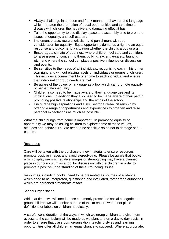- Always challenge in an open and frank manner, behaviour and language which threaten the promotion of equal opportunities and take time to discuss with children the negative and damaging effect it has.
- Take the opportunity to use display space and assembly time to promote issues of equality, and self-esteem.
- Implement praise, reward, criticism and punishment with due consideration for equality. Equal opportunity demands a right to an equal response and outcome to a situation whether the child is a boy or a girl.
- Encourage a climate of openness where children feel safe and confident to raise issues of concern to them, bullying, racism, e-safety, taunting etc., and where the school can place a positive influence on discussion and events.
- Be sensitive to the needs of all individuals; recognising each in his or her own right, and without placing labels on individuals or groups of children. This includes a commitment to offer time to each individual and ensure that individual or group needs are met.
- Be aware of the power of language as a tool which can promote equality or perpetuate inequality.
- Children also need to be made aware of their language use and its implications. In addition they also need to be made aware of their part in promoting positive relationships and the ethos of the school.
- Encourage high aspirations and a skill set for a global citizenship by offering a range of opportunities and experiences to broaden and raise personal expectations as much as possible.

What the child brings from home is important. In promoting equality of opportunity we may be asking children to explore some of these values, attitudes and behaviours. We need to be sensitive so as not to damage self – esteem.

#### Resources

Care will be taken with the purchase of new material to ensure resources promote positive images and avoid stereotyping. Please be aware that books which display sexism, negative images or stereotyping may have a planned place in our curriculum as a tool for discussion with the children in order to promote a positive understanding of the surrounding issues.

Resources, including books, need to be presented as sources of evidence, which need to be interpreted, questioned and evaluated, rather than authorities which are hardened statements of fact.

#### School Organisation

While, at times we will need to use commonly prescribed social categories to group children we will monitor our use of this to ensure we do not place definitions or labels on children needlessly.

A careful consideration of the ways in which we group children and give them access to the curriculum will be made as we plan, and on a day to day basis, in order to ensure that classroom organisation, teaching styles and learning opportunities offer all children an equal chance to succeed. Where appropriate,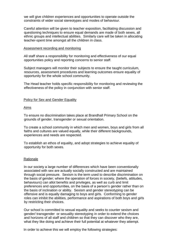we will give children experiences and opportunities to operate outside the constraints of wider social stereotypes and modes of behaviour.

Careful attention will be given to teacher exposition, facilitating discussion and questioning techniques to ensure equal demands are made of both sexes, all ethnic groups and intellectual abilities. Similarly care will be taken in allocating teacher-spent time amongst all the children in class.

#### Assessment recording and monitoring

All staff share a responsibility for monitoring and effectiveness of our equal opportunities policy and reporting concerns to senior staff.

Subject managers will monitor their subjects to ensure the taught curriculum, resources, assessment procedures and learning outcomes ensure equality of opportunity for the whole school community.

The Head teacher holds specific responsibility for monitoring and reviewing the effectiveness of the policy in conjunction with senior staff.

#### Policy for Sex and Gender Equality

#### Aims

To ensure no discrimination takes place at Brandhall Primary School on the grounds of gender, transgender or sexual orientation.

To create a school community in which men and women, boys and girls from all faiths and cultures are valued equally, while their different backgrounds, experiences and needs are respected.

To establish an ethos of equality, and adopt strategies to achieve equality of opportunity for both sexes.

#### Rationale

In our society a large number of differences which have been conventionally associated with sex are actually socially constructed and are maintained through social pressure. Sexism is the term used to describe discrimination on the basis of gender; where the operation of forces in society, (beliefs, attitudes, behaviours) can allot benefits and privileges, as well as curb and limit preferences and opportunities, on the basis of a person's gender rather than on the basis of inclination or ability. Sexism and gender stereotyping can be offensive and is equally damaging to boys and girls. Conforming to gender roles can inhibit the abilities, performance and aspirations of both boys and girls by restricting their choices.

Our school is committed to sexual equality and seeks to counter sexism and gender/ transgender or sexuality stereotyping in order to extend the choices and horizons of all staff and children so that they can discover who they are, what they like doing and achieve their full potential at whatever they attempt.

In order to achieve this we will employ the following strategies: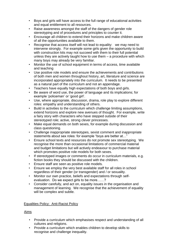- Boys and girls will have access to the full range of educational activities and equal entitlement to all resources.
- Raise awareness amongst the staff of the dangers of gender role stereotyping and of procedures and principles to counter it.
- Encourage all children to extend their horizons and make children aware of all the opportunities available to them.
- Recognise that access itself will not lead to equality: we may need to intervene strongly. For example some girls given the opportunity to build with construction kits may not succeed with them to their full potential unless they are actively taught how to use them  $-$  a procedure with which many boys may already be very familiar.
- Monitor the use of school equipment in terms of access, time available and teaching
- Use positive role models and ensure the achievements and contributions of both men and women throughout history, art, literature and science are incorporated appropriately into the curriculum. It needs to be presented as a natural part of the curriculum and not an appendage.
- Teachers have equally high expectations of both boys and girls.
- Be aware of word use, the power of language and its implications; for example 'policeman' or 'good girl'.
- Use, where appropriate, discussion, drama, role play to explore different roles: empathy and understanding of others.
- Build in activities to the curriculum which challenge limiting assumptions, extend horizons and explore new avenues of thought. For example, write a fairy story with characters who have stepped outside of their stereotyped role; active, strong clever princesses.
- Make equal demands on both sexes, for example during discussion and class questioning.
- Challenge inappropriate stereotypes, sexist comment and inappropriate statements about sex roles: for example "boys are better at…"
- Ensure school texts and resources do not promote sex stereotyping. We recognise the more than occasional limitations of commercial material and budget limitations but will actively endeavour to purchase material which promotes positive role models for both sexes.
- If stereotyped images or comments do occur in curriculum materials, e.g. fiction books they should be discussed with the children.
- Ensure staff are seen as positive role models.
- Ensure we employ the very best available staff for all roles in school regardless of their gender (or transgender) and / or sexuality.
- Monitor our own practice, beliefs and expectations through selfevaluation. Do we expect girls to be more……?
- Consider carefully, and act on, equality issues in the organisation and management of learning. We recognise that the achievement of equality will be complex and subtle.

# Equalities Policy: Anti-Racist Policy

# Aims

- Provide a curriculum which emphasises respect and understanding of all cultures and religions.
- Provide a curriculum which enables children to develop skills to recognise and challenge inequality.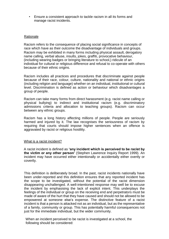• Ensure a consistent approach to tackle racism in all its forms and manage racist incidents.

#### Rationale

Racism refers to the consequence of placing social significance in concepts of race which have as their outcome the disadvantage of individuals and groups. Racism may be exhibited in many forms including physical assault, derogatory name calling, verbal abuse, insults, jokes, graffiti, provocative behaviour, (including wearing badges or bringing literature to school,) ridicule of an individual for cultural or religious difference and refusal to co-operate with others because of their ethnic origins.

Racism includes all practices and procedures that discriminate against people because of their race, colour, culture, nationality and national or ethnic origins (including religion and language) whether on an individual, institutional or cultural level. Discrimination is defined as action or behaviour which disadvantages a group of people.

Racism can take many forms from direct harassment (e.g. racist name calling or physical bullying) to indirect and institutional racism (e.g. discriminatory admissions criteria and allocation to teaching groups). Racism can occur between any ethnic groups.

Racism has a long history affecting millions of people. People are seriously harmed and injured by it. The law recognises the seriousness of racism by requiring that courts should impose higher sentences when an offence is aggravated by racist or religious hostility.

#### What is a racist incident?

A racist incident is defined as **'any incident which is perceived to be racist by the victim or any other person'** (Stephen Lawrence Inquiry Report 1999). An incident may have occurred either intentionally or accidentally either overtly or covertly.

This definition is deliberately broad. In the past, racist incidents nationally have been under-reported and this definition ensures that any reported incident has the scope to be investigated, without the potential of the racist dimension disappearing unchallenged. A well-intentioned response may well be to excuse the incident by emphasising the lack of explicit intent. This underplays the feelings of the individual or group on the receiving end and perpetrators must be made of aware of the hurt that they have caused and should not be allowed to be empowered at someone else's expense. The distinctive feature of a racist incident is that a person is attacked not as an individual, but as the representative of a family, community or group. This has potentially harmful consequences not just for the immediate individual, but the wider community.

When an incident perceived to be racist is investigated at a school, the following should be considered: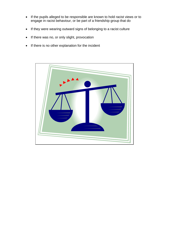- If the pupils alleged to be responsible are known to hold racist views or to engage in racist behaviour, or be part of a friendship group that do
- If they were wearing outward signs of belonging to a racist culture
- If there was no, or only slight, provocation
- If there is no other explanation for the incident

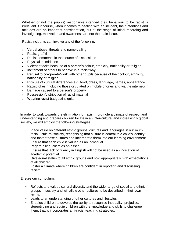Whether or not the pupil(s) responsible intended their behaviour to be racist is irrelevant. Of course, when it comes to dealing with an incident, their intentions and attitudes are an important consideration, but at the stage of initial recording and investigating, motivation and awareness are not the main issue.

Racist incidents can involve any of the following:

- Verbal abuse, threats and name-calling
- Racist graffiti
- Racist comments in the course of discussions
- Physical intimidation
- Violent attacks because of a person's colour, ethnicity, nationality or religion
- Incitement of others to behave in a racist way
- Refusal to co-operate/work with other pupils because of their colour, ethnicity, nationality or religion
- Ridicule of cultural differences e.g. food, dress, language, names, appearance
- Racist jokes (including those circulated on mobile phones and via the internet)
- Damage caused to a person's property
- Possession/distribution of racist material
- Wearing racist badges/insignia

In order to work towards the elimination for racism, promote a climate of respect and understanding and prepare children for life in an inter-cultural and increasingly global society, we will employ the following strategies:

- Place value on different ethnic groups, cultures and languages in our multiracial / cultural society, recognising that culture is central to a child's identity and foster these cultures and incorporate them into our learning environment.
- Ensure that each child is valued as an individual.
- Regard bilingualism as an asset.
- Ensure that lack of fluency in English will not be used as an indication of academic potential.
- Give equal status to all ethnic groups and hold appropriately high expectations of all children.
- Foster a climate where children are confident in reporting and discussing racism.

#### Ensure our curriculum:

- Reflects and values cultural diversity and the wide range of social and ethnic groups in society and will allow other cultures to be described in their own terms.
- Leads to an understanding of other cultures and lifestyles
- Enables children to develop the ability to recognise inequality, prejudice, stereotyping and equip children with the knowledge and skills to challenge them, that is incorporates anti-racist teaching strategies.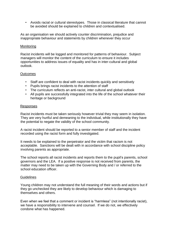• Avoids racial or cultural stereotypes. Those in classical literature that cannot be avoided should be explained to children and contextualised.

As an organisation we should actively counter discrimination, prejudice and inappropriate behaviour and statements by children whenever they occur

#### **Monitoring**

Racist incidents will be logged and monitored for patterns of behaviour. Subject managers will monitor the content of the curriculum to ensure it includes opportunities to address issues of equality and has in inter-cultural and global outlook.

#### **Outcomes**

- Staff are confident to deal with racist incidents quickly and sensitively
- Pupils brings racist incidents to the attention of staff
- The curriculum reflects an anti-racist, inter cultural and global outlook
- All pupils are successfully integrated into the life of the school whatever their heritage or background

#### Responses

Racist incidents must be taken seriously however trivial they may seem in isolation. They are very hurtful and demeaning to the individual, while institutionally they have the potential to negate the validity of the school community.

A racist incident should be reported to a senior member of staff and the incident recorded using the racist form and fully investigated.

It needs to be explained to the perpetrator and the victim that racism is not acceptable. Sanctions will be dealt with in accordance with school discipline policy involving parents as appropriate.

The school reports all racist incidents and reports them to the pupil's parents, school governors and the LEA. If a positive response is not received from parents, the matter may need to be taken up with the Governing Body and / or referred to the school education officer.

#### **Guidelines**

Young children may not understand the full meaning of their words and actions but if they go unchecked they are likely to develop behaviour which is damaging to themselves and others.

Even when we feel that a comment or incident is "harmless" (not intentionally racist), we have a responsibility to intervene and counsel. If we do not, we effectively condone what has happened.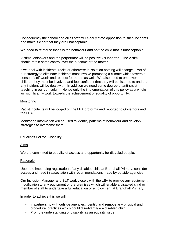Consequently the school and all its staff will clearly state opposition to such incidents and make it clear that they are unacceptable.

We need to reinforce that it is the behaviour and not the child that is unacceptable.

Victims, onlookers and the perpetrator will be positively supported. The victim should retain some control over the outcome of the matter.

If we deal with incidents, racist or otherwise in isolation nothing will change. Part of our strategy to eliminate incidents must involve promoting a climate which fosters a sense of self-worth and respect for others as well. We also need to empower children they must be involved and feel confident that they will be listened to and that any incident will be dealt with. In addition we need some degree of anti-racist teaching in our curriculum. Hence only the implementation of this policy as a whole will significantly work towards the achievement of equality of opportunity.

#### **Monitoring**

Racist incidents will be logged on the LEA proforma and reported to Governors and the LEA

Monitoring information will be used to identify patterns of behaviour and develop strategies to overcome them.

#### Equalities Policy: Disability

Aims

We are committed to equality of access and opportunity for disabled people.

#### Rationale

Upon the impending registration of any disabled child at Brandhall Primary, consider access and need in association with recommendations made by outside agencies

Our Inclusion Manager and SLT work closely with the LEA to provide any equipment, modification to any equipment or the premises which will enable a disabled child or member of staff to undertake a full education or employment at Brandhall Primary.

In order to achieve this we will:

- In partnership with outside agencies, identify and remove any physical and procedural practices which could disadvantage a disabled child.
- Promote understanding of disability as an equality issue.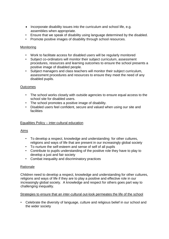- Incorporate disability issues into the curriculum and school life, e.g. assemblies when appropriate.
- Ensure that we speak of disability using language determined by the disabled.
- Promote positive images of disability through school resources.

# **Monitoring**

- Work to facilitate access for disabled users will be regularly monitored
- Subject co-ordinators will monitor their subject curriculum, assessment procedures, resources and learning outcomes to ensure the school presents a positive image of disabled people.
- Subject managers and class teachers will monitor their subject curriculum, assessment procedures and resources to ensure they meet the need of any disabled pupils.

# **Outcomes**

- The school works closely with outside agencies to ensure equal access to the school site for disabled users.
- The school promotes a positive image of disability.
- Disabled users feel confident, secure and valued when using our site and **facilities**

# Equalities Policy – inter-cultural education

# Aims

- To develop a respect, knowledge and understanding for other cultures, religions and ways of life that are present in our increasingly global society
- To nurture the self-esteem and sense of self of all pupils
- Contribute to pupils understanding of the positive role they have to play to develop a just and fair society
- Combat inequality and discriminatory practices

# Rationale

Children need to develop a respect, knowledge and understanding for other cultures, religions and ways of life if they are to play a positive and effective role in our increasingly global society. A knowledge and respect for others goes part way to challenging inequality.

#### Strategies to ensure that an inter-cultural out-look permeates the life of the school

• Celebrate the diversity of language, culture and religious belief in our school and the wider society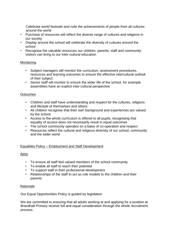Celebrate world festivals and note the achievements of people from all cultures around the world

- Purchase of resources will reflect the diverse range of cultures and religions in our society
- Display around the school will celebrate the diversity of cultures around the school
- Recognise the valuable resources our children, parents, staff and community visitors can bring to our inter-cultural education

# Monitoring

- Subject managers will monitor the curriculum, assessment procedures, resources and learning outcomes to ensure the effective intercultural outlook of their subject
- Senior staff will monitor to ensure the wider life of the school, for example assemblies have an explicit inter-cultural perspective

# **Outcomes**

- Children and staff have understanding and respect for the cultures, religions and lifestyle of themselves and others
- All children recognise that their own background and experiences are valued by the school
- Access to the whole curriculum is offered to all pupils, recognising that equality of access does not necessarily result in equal outcomes
- The school community operates on a basis of co-operation and respect
- Resources reflect the cultural and religious diversity of our school, community and the wider world

# Equalities Policy – Employment and Staff Development

#### Aims

- To ensure all staff feel valued members of the school community
- To enable all staff to reach their potential
- To support staff in their professional development
- Relationships of the staff to act as role models to the children and their parents

#### Rationale

Our Equal Opportunities Policy is guided by legislation

We are committed to ensuring that all adults working at and applying for a position at Brandhall Primary receive full and equal consideration through the whole recruitment process.